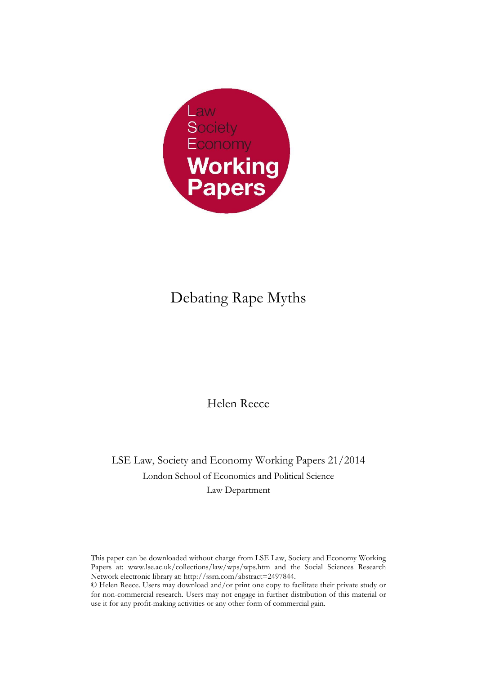

# Debating Rape Myths

Helen Reece

LSE Law, Society and Economy Working Papers 21/2014 London School of Economics and Political Science Law Department

This paper can be downloaded without charge from LSE Law, Society and Economy Working Papers at: www.lse.ac.uk/collections/law/wps/wps.htm and the Social Sciences Research Network electronic library at: http://ssrn.com/abstract=2497844.

<sup>©</sup> Helen Reece. Users may download and/or print one copy to facilitate their private study or for non-commercial research. Users may not engage in further distribution of this material or use it for any profit-making activities or any other form of commercial gain.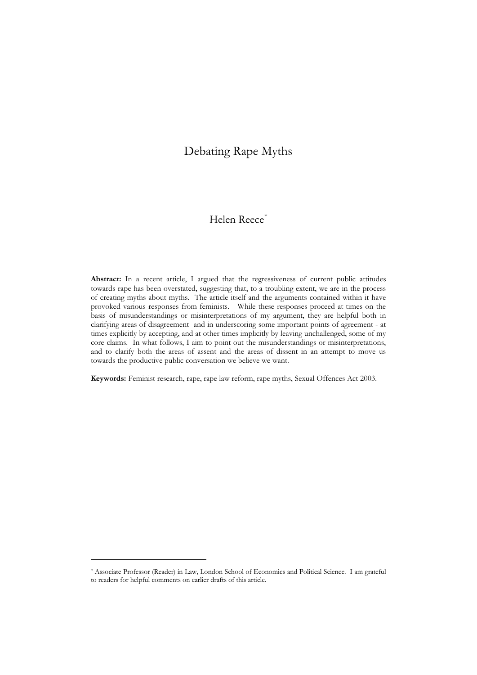# Debating Rape Myths

## Helen Reece<sup>[\\*](#page-1-0)</sup>

**Abstract:** In a recent article, I argued that the regressiveness of current public attitudes towards rape has been overstated, suggesting that, to a troubling extent, we are in the process of creating myths about myths. The article itself and the arguments contained within it have provoked various responses from feminists. While these responses proceed at times on the basis of misunderstandings or misinterpretations of my argument, they are helpful both in clarifying areas of disagreement and in underscoring some important points of agreement - at times explicitly by accepting, and at other times implicitly by leaving unchallenged, some of my core claims. In what follows, I aim to point out the misunderstandings or misinterpretations, and to clarify both the areas of assent and the areas of dissent in an attempt to move us towards the productive public conversation we believe we want.

**Keywords:** Feminist research, rape, rape law reform, rape myths, Sexual Offences Act 2003.

<span id="page-1-0"></span><sup>\*</sup> Associate Professor (Reader) in Law, London School of Economics and Political Science. I am grateful to readers for helpful comments on earlier drafts of this article.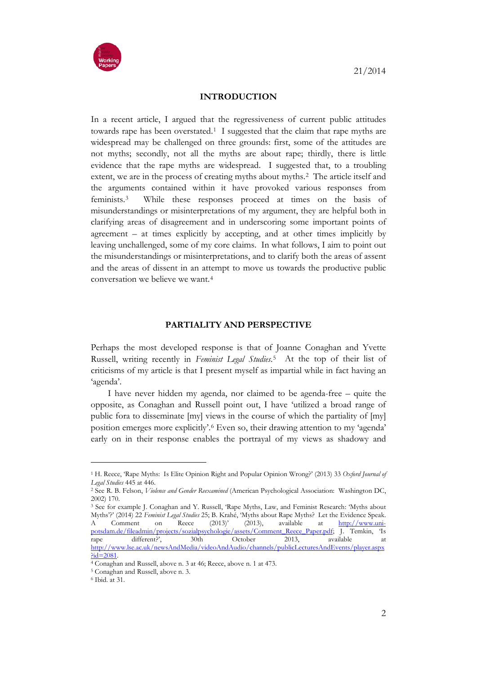

### <span id="page-2-8"></span><span id="page-2-1"></span>**INTRODUCTION**

<span id="page-2-0"></span>In a recent article, I argued that the regressiveness of current public attitudes towards rape has been overstated.<sup>[1](#page-2-2)</sup> I suggested that the claim that rape myths are widespread may be challenged on three grounds: first, some of the attitudes are not myths; secondly, not all the myths are about rape; thirdly, there is little evidence that the rape myths are widespread. I suggested that, to a troubling extent, we are in the process of creating myths about myths.<sup>[2](#page-2-3)</sup> The article itself and the arguments contained within it have provoked various responses from feminists.[3](#page-2-4) While these responses proceed at times on the basis of misunderstandings or misinterpretations of my argument, they are helpful both in clarifying areas of disagreement and in underscoring some important points of agreement – at times explicitly by accepting, and at other times implicitly by leaving unchallenged, some of my core claims. In what follows, I aim to point out the misunderstandings or misinterpretations, and to clarify both the areas of assent and the areas of dissent in an attempt to move us towards the productive public conversation we believe we want.[4](#page-2-5)

#### **PARTIALITY AND PERSPECTIVE**

Perhaps the most developed response is that of Joanne Conaghan and Yvette Russell, writing recently in *Feminist Legal Studies*.[5](#page-2-6) At the top of their list of criticisms of my article is that I present myself as impartial while in fact having an 'agenda'.

I have never hidden my agenda, nor claimed to be agenda-free – quite the opposite, as Conaghan and Russell point out, I have 'utilized a broad range of public fora to disseminate [my] views in the course of which the partiality of [my] position emerges more explicitly'.[6](#page-2-7) Even so, their drawing attention to my 'agenda' early on in their response enables the portrayal of my views as shadowy and

<span id="page-2-2"></span><sup>1</sup> H. Reece, 'Rape Myths: Is Elite Opinion Right and Popular Opinion Wrong?' (2013) 33 *Oxford Journal of Legal Studies* 445 at 446.

<span id="page-2-3"></span><sup>2</sup> See R. B. Felson, *Violence and Gender Reexamined* (American Psychological Association: Washington DC, 2002) 170.

<span id="page-2-4"></span><sup>3</sup> See for example J. Conaghan and Y. Russell, 'Rape Myths, Law, and Feminist Research: 'Myths about Myths'?' (2014) 22 *Feminist Legal Studies* 25; B. Krahé, 'Myths about Rape Myths? Let the Evidence Speak. A Comment on Reece (2013)' (2013), available at [potsdam.de/fileadmin/projects/sozialpsychologie/assets/Comment\\_Reece\\_Paper.pdf;](http://www.uni-potsdam.de/fileadmin/projects/sozialpsychologie/assets/Comment_Reece_Paper.pdf) J. Temkin, 'Is rape different?', 30th October 2013, available at [http://www.lse.ac.uk/newsAndMedia/videoAndAudio/channels/publicLecturesAndEvents/player.aspx](http://www.lse.ac.uk/newsAndMedia/videoAndAudio/channels/publicLecturesAndEvents/player.aspx?id=2081) [?id=2081.](http://www.lse.ac.uk/newsAndMedia/videoAndAudio/channels/publicLecturesAndEvents/player.aspx?id=2081)

<span id="page-2-6"></span><span id="page-2-5"></span><sup>4</sup> Conaghan and Russell, above n[. 3](#page-2-0) at 46; Reece, above n. [1](#page-2-1) at 473.

<sup>5</sup> Conaghan and Russell, above n[. 3.](#page-2-0)

<span id="page-2-7"></span><sup>6</sup> Ibid. at 31.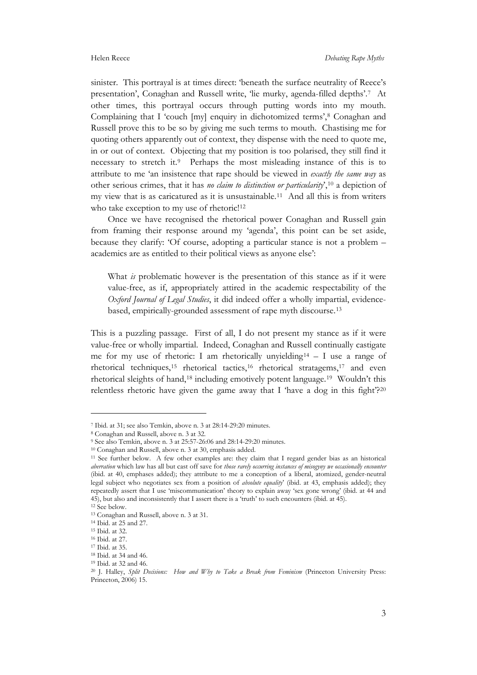sinister. This portrayal is at times direct: 'beneath the surface neutrality of Reece's presentation', Conaghan and Russell write, 'lie murky, agenda-filled depths'.[7](#page-3-0) At other times, this portrayal occurs through putting words into my mouth. Complaining that I 'couch [my] enquiry in dichotomized terms',<sup>[8](#page-3-1)</sup> Conaghan and Russell prove this to be so by giving me such terms to mouth. Chastising me for quoting others apparently out of context, they dispense with the need to quote me, in or out of context. Objecting that my position is too polarised, they still find it necessary to stretch it.[9](#page-3-2) Perhaps the most misleading instance of this is to attribute to me 'an insistence that rape should be viewed in *exactly the same way* as other serious crimes, that it has *no claim to distinction or particularity*',[10](#page-3-3) a depiction of my view that is as caricatured as it is unsustainable.[11](#page-3-4) And all this is from writers who take exception to my use of rhetoric!<sup>12</sup>

Once we have recognised the rhetorical power Conaghan and Russell gain from framing their response around my 'agenda', this point can be set aside, because they clarify: 'Of course, adopting a particular stance is not a problem – academics are as entitled to their political views as anyone else':

What *is* problematic however is the presentation of this stance as if it were value-free, as if, appropriately attired in the academic respectability of the *Oxford Journal of Legal Studies*, it did indeed offer a wholly impartial, evidencebased, empirically-grounded assessment of rape myth discourse.[13](#page-3-6)

This is a puzzling passage. First of all, I do not present my stance as if it were value-free or wholly impartial. Indeed, Conaghan and Russell continually castigate me for my use of rhetoric: I am rhetorically unyielding<sup>[14](#page-3-7)</sup> – I use a range of rhetorical techniques,[15](#page-3-8) rhetorical tactics,[16](#page-3-9) rhetorical stratagems,[17](#page-3-10) and even rhetorical sleights of hand,[18](#page-3-11) including emotively potent language.[19](#page-3-12) Wouldn't this relentless rhetoric have given the game away that I 'have a dog in this fight'?<sup>20</sup>

<span id="page-3-14"></span><span id="page-3-0"></span><sup>7</sup> Ibid. at 31; see also Temkin, above n. [3](#page-2-0) at 28:14-29:20 minutes.

<span id="page-3-1"></span><sup>8</sup> Conaghan and Russell, above n[. 3](#page-2-0) at 32.

<span id="page-3-2"></span><sup>9</sup> See also Temkin, above n[. 3](#page-2-0) at 25:57-26:06 and 28:14-29:20 minutes.

<span id="page-3-3"></span><sup>10</sup> Conaghan and Russell, above n[. 3](#page-2-0) at 30, emphasis added.

<span id="page-3-4"></span><sup>11</sup> See further below. A few other examples are: they claim that I regard gender bias as an historical *aberration* which law has all but cast off save for *those rarely occurring instances of misogyny we occasionally encounter* (ibid. at 40, emphases added); they attribute to me a conception of a liberal, atomized, gender-neutral legal subject who negotiates sex from a position of *absolute equality*' (ibid. at 43, emphasis added); they repeatedly assert that I use 'miscommunication' theory to explain away 'sex gone wrong' (ibid. at 44 and 45), but also and inconsistently that I assert there is a 'truth' to such encounters (ibid. at 45).

<span id="page-3-5"></span><sup>12</sup> See below.

<sup>13</sup> Conaghan and Russell, above n[. 3](#page-2-0) at 31.

<span id="page-3-7"></span><span id="page-3-6"></span><sup>14</sup> Ibid. at 25 and 27.

<sup>15</sup> Ibid. at 32.

<span id="page-3-10"></span><span id="page-3-9"></span><span id="page-3-8"></span><sup>16</sup> Ibid. at 27.

<sup>17</sup> Ibid. at 35.

<span id="page-3-11"></span><sup>18</sup> Ibid. at 34 and 46.

<sup>19</sup> Ibid. at 32 and 46.

<span id="page-3-13"></span><span id="page-3-12"></span><sup>20</sup> J. Halley, *Split Decisions: How and Why to Take a Break from Feminism* (Princeton University Press: Princeton, 2006) 15.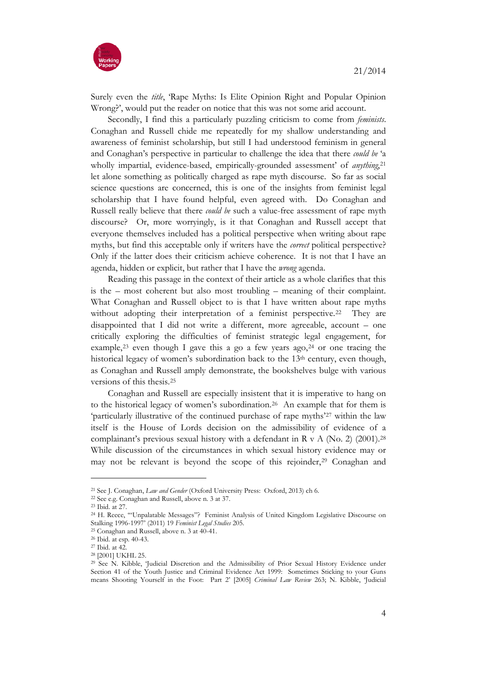

Surely even the *title*, 'Rape Myths: Is Elite Opinion Right and Popular Opinion Wrong?', would put the reader on notice that this was not some arid account.

Secondly, I find this a particularly puzzling criticism to come from *feminists*. Conaghan and Russell chide me repeatedly for my shallow understanding and awareness of feminist scholarship, but still I had understood feminism in general and Conaghan's perspective in particular to challenge the idea that there *could be* 'a wholly impartial, evidence-based, empirically-grounded assessment' of *anything*,<sup>[21](#page-4-0)</sup> let alone something as politically charged as rape myth discourse. So far as social science questions are concerned, this is one of the insights from feminist legal scholarship that I have found helpful, even agreed with. Do Conaghan and Russell really believe that there *could be* such a value-free assessment of rape myth discourse? Or, more worryingly, is it that Conaghan and Russell accept that everyone themselves included has a political perspective when writing about rape myths, but find this acceptable only if writers have the *correct* political perspective? Only if the latter does their criticism achieve coherence. It is not that I have an agenda, hidden or explicit, but rather that I have the *wrong* agenda.

Reading this passage in the context of their article as a whole clarifies that this is the – most coherent but also most troubling – meaning of their complaint. What Conaghan and Russell object to is that I have written about rape myths without adopting their interpretation of a feminist perspective.<sup>[22](#page-4-1)</sup> They are disappointed that I did not write a different, more agreeable, account – one critically exploring the difficulties of feminist strategic legal engagement, for example,<sup>[23](#page-4-2)</sup> even though I gave this a go a few years ago,<sup>[24](#page-4-3)</sup> or one tracing the historical legacy of women's subordination back to the 13<sup>th</sup> century, even though, as Conaghan and Russell amply demonstrate, the bookshelves bulge with various versions of this thesis.[25](#page-4-4) 

<span id="page-4-9"></span>Conaghan and Russell are especially insistent that it is imperative to hang on to the historical legacy of women's subordination[.26](#page-4-5) An example that for them is 'particularly illustrative of the continued purchase of rape myths'[27](#page-4-6) within the law itself is the House of Lords decision on the admissibility of evidence of a complainant's previous sexual history with a defendant in R v A (No. 2) (2001).<sup>28</sup> While discussion of the circumstances in which sexual history evidence may or may not be relevant is beyond the scope of this rejoinder,<sup>[29](#page-4-8)</sup> Conaghan and

<sup>21</sup> See J. Conaghan, *Law and Gender* (Oxford University Press: Oxford, 2013) ch 6.

<span id="page-4-1"></span><span id="page-4-0"></span><sup>22</sup> See e.g. Conaghan and Russell, above n. 3 at 37.

<sup>23</sup> Ibid. at 27.

<span id="page-4-3"></span><span id="page-4-2"></span><sup>24</sup> H. Reece, '"Unpalatable Messages"? Feminist Analysis of United Kingdom Legislative Discourse on Stalking 1996-1997' (2011) 19 *Feminist Legal Studies* 205.

<span id="page-4-4"></span><sup>25</sup> Conaghan and Russell, above n. 3 at 40-41.

<span id="page-4-5"></span><sup>26</sup> Ibid. at esp. 40-43.

<span id="page-4-6"></span><sup>27</sup> Ibid. at 42.

<span id="page-4-7"></span><sup>28</sup> [2001] UKHL 25.

<span id="page-4-8"></span><sup>29</sup> See N. Kibble, 'Judicial Discretion and the Admissibility of Prior Sexual History Evidence under Section 41 of the Youth Justice and Criminal Evidence Act 1999: Sometimes Sticking to your Guns means Shooting Yourself in the Foot: Part 2' [2005] *Criminal Law Review* 263; N. Kibble, 'Judicial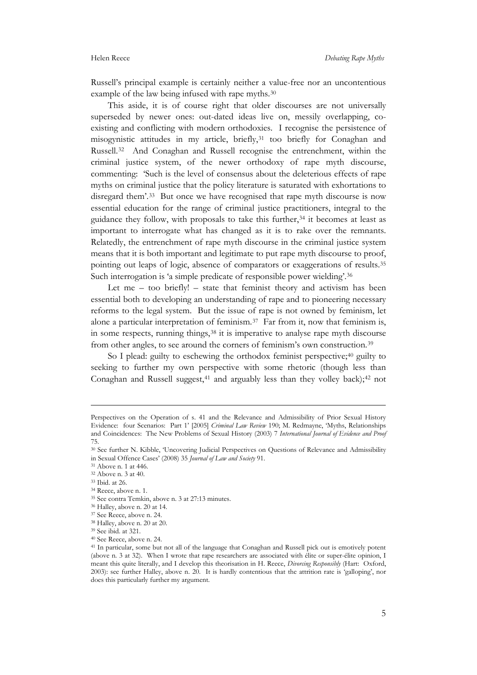Russell's principal example is certainly neither a value-free nor an uncontentious example of the law being infused with rape myths.<sup>[30](#page-5-0)</sup>

This aside, it is of course right that older discourses are not universally superseded by newer ones: out-dated ideas live on, messily overlapping, coexisting and conflicting with modern orthodoxies. I recognise the persistence of misogynistic attitudes in my article, briefly,[31](#page-5-1) too briefly for Conaghan and Russell.[32](#page-5-2) And Conaghan and Russell recognise the entrenchment, within the criminal justice system, of the newer orthodoxy of rape myth discourse, commenting: 'Such is the level of consensus about the deleterious effects of rape myths on criminal justice that the policy literature is saturated with exhortations to disregard them'.[33](#page-5-3) But once we have recognised that rape myth discourse is now essential education for the range of criminal justice practitioners, integral to the guidance they follow, with proposals to take this further,<sup>[34](#page-5-4)</sup> it becomes at least as important to interrogate what has changed as it is to rake over the remnants. Relatedly, the entrenchment of rape myth discourse in the criminal justice system means that it is both important and legitimate to put rape myth discourse to proof, pointing out leaps of logic, absence of comparators or exaggerations of results.[35](#page-5-5)  Such interrogation is 'a simple predicate of responsible power wielding'.[36](#page-5-6)

Let me – too briefly! – state that feminist theory and activism has been essential both to developing an understanding of rape and to pioneering necessary reforms to the legal system. But the issue of rape is not owned by feminism, let alone a particular interpretation of feminism.[37](#page-5-7) Far from it, now that feminism is, in some respects, running things,[38](#page-5-8) it is imperative to analyse rape myth discourse from other angles, to see around the corners of feminism's own construction.[39](#page-5-9)

<span id="page-5-12"></span>So I plead: guilty to eschewing the orthodox feminist perspective; $40$  guilty to seeking to further my own perspective with some rhetoric (though less than Conaghan and Russell suggest,<sup>[41](#page-5-11)</sup> and arguably less than they volley back);<sup>[42](#page-5-0)</sup> not

<span id="page-5-1"></span><sup>31</sup> Above n[. 1](#page-2-1) at 446.

Perspectives on the Operation of s. 41 and the Relevance and Admissibility of Prior Sexual History Evidence: four Scenarios: Part 1' [2005] *Criminal Law Review* 190; M. Redmayne, 'Myths, Relationships and Coincidences: The New Problems of Sexual History (2003) 7 *International Journal of Evidence and Proof* 75.

<span id="page-5-0"></span><sup>30</sup> See further N. Kibble, 'Uncovering Judicial Perspectives on Questions of Relevance and Admissibility in Sexual Offence Cases' (2008) 35 *Journal of Law and Society* 91.

<span id="page-5-2"></span><sup>32</sup> Above n[. 3](#page-2-0) at 40.

<span id="page-5-4"></span><span id="page-5-3"></span><sup>33</sup> Ibid. at 26.

<sup>34</sup> Reece, above n. [1.](#page-2-1)

<span id="page-5-6"></span><span id="page-5-5"></span><sup>35</sup> See contra Temkin, above n. [3](#page-2-0) at 27:13 minutes.

<sup>36</sup> Halley, above n[. 20](#page-3-14) at 14.

<span id="page-5-7"></span><sup>37</sup> See Reece, above n. [24.](#page-4-9)

<span id="page-5-8"></span><sup>38</sup> Halley, above n[. 20](#page-3-14) at 20.

<span id="page-5-9"></span><sup>39</sup> See ibid. at 321.

<sup>40</sup> See Reece, above n. [24.](#page-4-9)

<span id="page-5-11"></span><span id="page-5-10"></span><sup>&</sup>lt;sup>41</sup> In particular, some but not all of the language that Conaghan and Russell pick out is emotively potent (above n. [3](#page-2-0) at 32). When I wrote that rape researchers are associated with élite or super-élite opinion, I meant this quite literally, and I develop this theorisation in H. Reece, *Divorcing Responsibly* (Hart: Oxford, 2003): see further Halley, above n. [20.](#page-3-14) It is hardly contentious that the attrition rate is 'galloping', nor does this particularly further my argument.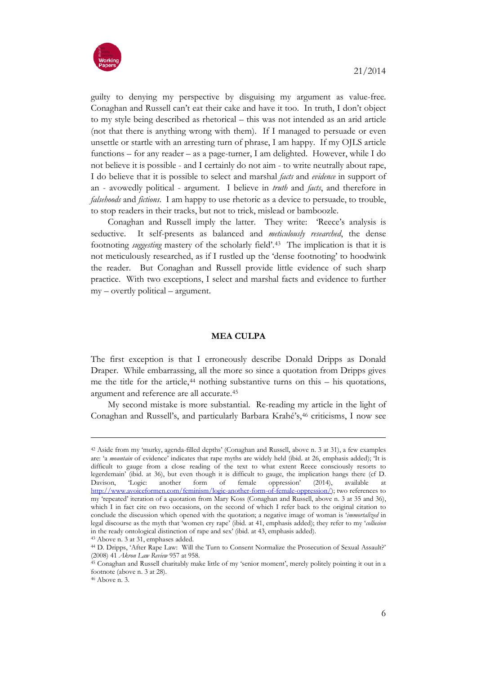

guilty to denying my perspective by disguising my argument as value-free. Conaghan and Russell can't eat their cake and have it too. In truth, I don't object to my style being described as rhetorical – this was not intended as an arid article (not that there is anything wrong with them). If I managed to persuade or even unsettle or startle with an arresting turn of phrase, I am happy. If my OJLS article functions – for any reader – as a page-turner, I am delighted. However, while I do not believe it is possible - and I certainly do not aim - to write neutrally about rape, I do believe that it is possible to select and marshal *facts* and *evidence* in support of an - avowedly political - argument. I believe in *truth* and *facts*, and therefore in *falsehoods* and *fictions*. I am happy to use rhetoric as a device to persuade, to trouble, to stop readers in their tracks, but not to trick, mislead or bamboozle.

Conaghan and Russell imply the latter. They write: 'Reece's analysis is seductive. It self-presents as balanced and *meticulously researched*, the dense footnoting *suggesting* mastery of the scholarly field'.[43](#page-6-0) The implication is that it is not meticulously researched, as if I rustled up the 'dense footnoting' to hoodwink the reader. But Conaghan and Russell provide little evidence of such sharp practice. With two exceptions, I select and marshal facts and evidence to further my – overtly political – argument.

#### **MEA CULPA**

The first exception is that I erroneously describe Donald Dripps as Donald Draper. While embarrassing, all the more so since a quotation from Dripps gives me the title for the article, $44$  nothing substantive turns on this  $-$  his quotations, argument and reference are all accurate.[45](#page-6-2)

My second mistake is more substantial. Re-reading my article in the light of Conaghan and Russell's, and particularly Barbara Krahé's,<sup>[46](#page-6-3)</sup> criticisms, I now see

 $\ddot{\phantom{a}}$ 

<sup>42</sup> Aside from my 'murky, agenda-filled depths' (Conaghan and Russell, above n. [3](#page-2-0) at 31), a few examples are: 'a *mountain* of evidence' indicates that rape myths are widely held (ibid. at 26, emphasis added); 'It is difficult to gauge from a close reading of the text to what extent Reece consciously resorts to legerdemain' (ibid. at 36), but even though it is difficult to gauge, the implication hangs there (cf D. Davison, 'Logic: another form of female oppression' (2014), available at [http://www.avoiceformen.com/feminism/logic-another-form-of-female-oppression/\)](http://www.avoiceformen.com/feminism/logic-another-form-of-female-oppression/); two references to my 'repeated' iteration of a quotation from Mary Koss (Conaghan and Russell, above n. [3](#page-2-0) at 35 and 36), which I in fact cite on two occasions, on the second of which I refer back to the original citation to conclude the discussion which opened with the quotation; a negative image of woman is '*immortalized* in legal discourse as the myth that 'women cry rape' (ibid. at 41, emphasis added); they refer to my '*collusion* in the ready ontological distinction of rape and sex' (ibid. at 43, emphasis added).

<span id="page-6-1"></span><span id="page-6-0"></span><sup>43</sup> Above n[. 3](#page-2-0) at 31, emphases added.

<sup>44</sup> D. Dripps, 'After Rape Law: Will the Turn to Consent Normalize the Prosecution of Sexual Assault?' (2008) 41 *Akron Law Review* 957 at 958.

<span id="page-6-2"></span><sup>45</sup> Conaghan and Russell charitably make little of my 'senior moment', merely politely pointing it out in a footnote (above n. [3](#page-2-0) at 28).

<span id="page-6-3"></span><sup>46</sup> Above n[. 3.](#page-2-0)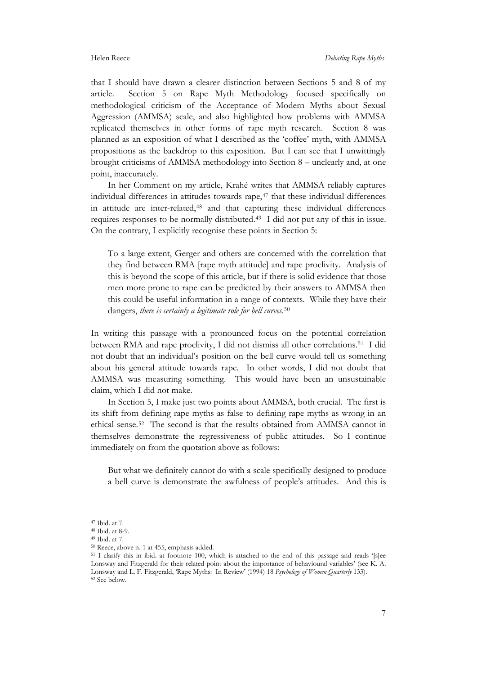that I should have drawn a clearer distinction between Sections 5 and 8 of my article. Section 5 on Rape Myth Methodology focused specifically on methodological criticism of the Acceptance of Modern Myths about Sexual Aggression (AMMSA) scale, and also highlighted how problems with AMMSA replicated themselves in other forms of rape myth research. Section 8 was planned as an exposition of what I described as the 'coffee' myth, with AMMSA propositions as the backdrop to this exposition. But I can see that I unwittingly brought criticisms of AMMSA methodology into Section 8 – unclearly and, at one point, inaccurately.

In her Comment on my article, Krahé writes that AMMSA reliably captures individual differences in attitudes towards rape,<sup>[47](#page-7-0)</sup> that these individual differences in attitude are inter-related,[48](#page-7-1) and that capturing these individual differences requires responses to be normally distributed.[49](#page-7-2) I did not put any of this in issue. On the contrary, I explicitly recognise these points in Section 5:

To a large extent, Gerger and others are concerned with the correlation that they find between RMA [rape myth attitude] and rape proclivity. Analysis of this is beyond the scope of this article, but if there is solid evidence that those men more prone to rape can be predicted by their answers to AMMSA then this could be useful information in a range of contexts. While they have their dangers, *there is certainly a legitimate role for bell curves*.[50](#page-7-3)

In writing this passage with a pronounced focus on the potential correlation between RMA and rape proclivity, I did not dismiss all other correlations.[51](#page-7-4) I did not doubt that an individual's position on the bell curve would tell us something about his general attitude towards rape. In other words, I did not doubt that AMMSA was measuring something. This would have been an unsustainable claim, which I did not make.

In Section 5, I make just two points about AMMSA, both crucial. The first is its shift from defining rape myths as false to defining rape myths as wrong in an ethical sense.[52](#page-7-5) The second is that the results obtained from AMMSA cannot in themselves demonstrate the regressiveness of public attitudes. So I continue immediately on from the quotation above as follows:

But what we definitely cannot do with a scale specifically designed to produce a bell curve is demonstrate the awfulness of people's attitudes. And this is

<span id="page-7-0"></span><sup>47</sup> Ibid. at 7.

<sup>48</sup> Ibid. at 8-9.

<span id="page-7-2"></span><span id="page-7-1"></span><sup>49</sup> Ibid. at 7.

<span id="page-7-3"></span><sup>50</sup> Reece, above n. [1](#page-2-1) at 455, emphasis added.

<span id="page-7-5"></span><span id="page-7-4"></span><sup>51</sup> I clarify this in ibid. at footnote 100, which is attached to the end of this passage and reads '[s]ee Lonsway and Fitzgerald for their related point about the importance of behavioural variables' (see K. A. Lonsway and L. F. Fitzgerald, 'Rape Myths: In Review' (1994) 18 *Psychology of Women Quarterly* 133). 52 See below.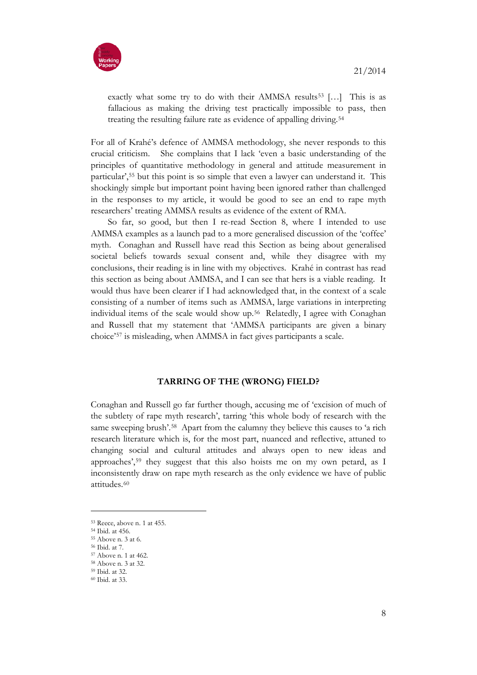

exactly what some try to do with their AMMSA results<sup>[53](#page-8-0)</sup> [...] This is as fallacious as making the driving test practically impossible to pass, then treating the resulting failure rate as evidence of appalling driving.<sup>[54](#page-8-1)</sup>

For all of Krahé's defence of AMMSA methodology, she never responds to this crucial criticism. She complains that I lack 'even a basic understanding of the principles of quantitative methodology in general and attitude measurement in particular',[55](#page-8-2) but this point is so simple that even a lawyer can understand it. This shockingly simple but important point having been ignored rather than challenged in the responses to my article, it would be good to see an end to rape myth researchers' treating AMMSA results as evidence of the extent of RMA.

So far, so good, but then I re-read Section 8, where I intended to use AMMSA examples as a launch pad to a more generalised discussion of the 'coffee' myth. Conaghan and Russell have read this Section as being about generalised societal beliefs towards sexual consent and, while they disagree with my conclusions, their reading is in line with my objectives. Krahé in contrast has read this section as being about AMMSA, and I can see that hers is a viable reading. It would thus have been clearer if I had acknowledged that, in the context of a scale consisting of a number of items such as AMMSA, large variations in interpreting individual items of the scale would show up.[56](#page-8-3) Relatedly, I agree with Conaghan and Russell that my statement that 'AMMSA participants are given a binary choice'[57](#page-8-4) is misleading, when AMMSA in fact gives participants a scale.

#### **TARRING OF THE (WRONG) FIELD?**

Conaghan and Russell go far further though, accusing me of 'excision of much of the subtlety of rape myth research', tarring 'this whole body of research with the same sweeping brush'.<sup>58</sup> Apart from the calumny they believe this causes to 'a rich research literature which is, for the most part, nuanced and reflective, attuned to changing social and cultural attitudes and always open to new ideas and approaches',[59](#page-8-6) they suggest that this also hoists me on my own petard, as I inconsistently draw on rape myth research as the only evidence we have of public attitudes.[60](#page-8-7)

 $\overline{a}$ 

8

<span id="page-8-0"></span><sup>53</sup> Reece, above n. [1](#page-2-1) at 455.

<span id="page-8-1"></span><sup>54</sup> Ibid. at 456.

<span id="page-8-2"></span><sup>55</sup> Above n[. 3](#page-2-0) at 6. <sup>56</sup> Ibid. at 7.

<span id="page-8-5"></span><span id="page-8-4"></span><span id="page-8-3"></span><sup>57</sup> Above n[. 1](#page-2-1) at 462. <sup>58</sup> Above n[. 3](#page-2-0) at 32.

<sup>59</sup> Ibid. at 32.

<span id="page-8-7"></span><span id="page-8-6"></span><sup>60</sup> Ibid. at 33.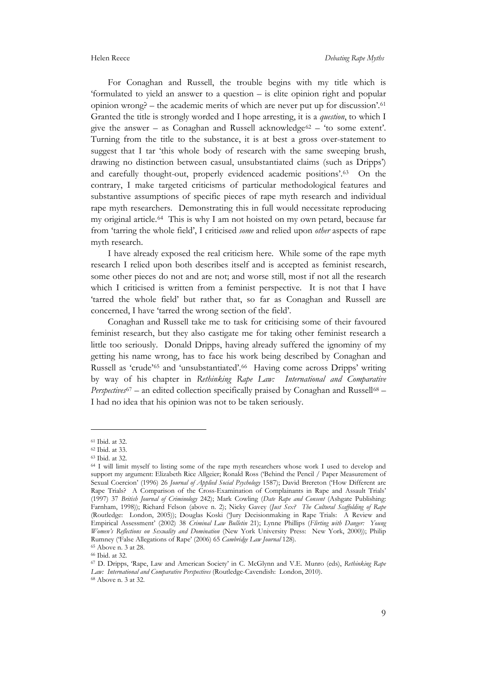For Conaghan and Russell, the trouble begins with my title which is 'formulated to yield an answer to a question – is elite opinion right and popular opinion wrong? – the academic merits of which are never put up for discussion'.[61](#page-9-0)  Granted the title is strongly worded and I hope arresting, it is a *question*, to which I give the answer – as Conaghan and Russell acknowledge<sup>[62](#page-9-1)</sup> – 'to some extent'. Turning from the title to the substance, it is at best a gross over-statement to suggest that I tar 'this whole body of research with the same sweeping brush, drawing no distinction between casual, unsubstantiated claims (such as Dripps') and carefully thought-out, properly evidenced academic positions'.[63](#page-9-2) On the contrary, I make targeted criticisms of particular methodological features and substantive assumptions of specific pieces of rape myth research and individual rape myth researchers. Demonstrating this in full would necessitate reproducing my original article.[64](#page-9-3) This is why I am not hoisted on my own petard, because far from 'tarring the whole field', I criticised *some* and relied upon *other* aspects of rape myth research.

<span id="page-9-8"></span>I have already exposed the real criticism here. While some of the rape myth research I relied upon both describes itself and is accepted as feminist research, some other pieces do not and are not; and worse still, most if not all the research which I criticised is written from a feminist perspective. It is not that I have 'tarred the whole field' but rather that, so far as Conaghan and Russell are concerned, I have 'tarred the wrong section of the field'.

Conaghan and Russell take me to task for criticising some of their favoured feminist research, but they also castigate me for taking other feminist research a little too seriously. Donald Dripps, having already suffered the ignominy of my getting his name wrong, has to face his work being described by Conaghan and Russell as 'crude'[65](#page-9-4) and 'unsubstantiated'[.66](#page-9-5) Having come across Dripps' writing by way of his chapter in *Rethinking Rape Law: International and Comparative Perspectives*<sup>[67](#page-9-6)</sup> – an edited collection specifically praised by Conaghan and Russell<sup>[68](#page-9-7)</sup> – I had no idea that his opinion was not to be taken seriously.

<span id="page-9-0"></span><sup>61</sup> Ibid. at 32.

<sup>62</sup> Ibid. at 33.

<span id="page-9-3"></span><span id="page-9-2"></span><span id="page-9-1"></span><sup>63</sup> Ibid. at 32.

<sup>&</sup>lt;sup>64</sup> I will limit myself to listing some of the rape myth researchers whose work I used to develop and support my argument: Elizabeth Rice Allgeier; Ronald Ross ('Behind the Pencil / Paper Measurement of Sexual Coercion' (1996) 26 *Journal of Applied Social Psychology* 1587); David Brereton ('How Different are Rape Trials? A Comparison of the Cross-Examination of Complainants in Rape and Assault Trials' (1997) 37 *British Journal of Criminology* 242); Mark Cowling (*Date Rape and Consent* (Ashgate Publishing: Farnham, 1998)); Richard Felson (above n. [2\)](#page-2-8); Nicky Gavey (*Just Sex? The Cultural Scaffolding of Rape* (Routledge: London, 2005)); Douglas Koski ('Jury Decisionmaking in Rape Trials: A Review and Empirical Assessment' (2002) 38 *Criminal Law Bulletin* 21); Lynne Phillips (*Flirting with Danger: Young Women's Reflections on Sexuality and Domination* (New York University Press: New York, 2000)); Philip Rumney ('False Allegations of Rape' (2006) 65 *Cambridge Law Journal* 128). 65 Above n. 3 at 28.

<span id="page-9-5"></span><span id="page-9-4"></span><sup>66</sup> Ibid. at 32.

<span id="page-9-7"></span><span id="page-9-6"></span><sup>67</sup> D. Dripps, 'Rape, Law and American Society' in C. McGlynn and V.E. Munro (eds), *Rethinking Rape Law: International and Comparative Perspectives* (Routledge-Cavendish: London, 2010).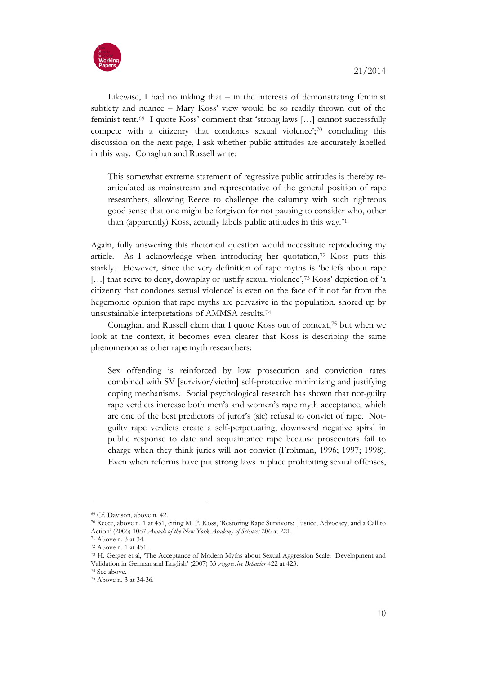

Likewise, I had no inkling that – in the interests of demonstrating feminist subtlety and nuance – Mary Koss' view would be so readily thrown out of the feminist tent.[69](#page-10-0) I quote Koss' comment that 'strong laws […] cannot successfully compete with a citizenry that condones sexual violence';[70](#page-10-1) concluding this discussion on the next page, I ask whether public attitudes are accurately labelled in this way. Conaghan and Russell write:

<span id="page-10-7"></span>This somewhat extreme statement of regressive public attitudes is thereby rearticulated as mainstream and representative of the general position of rape researchers, allowing Reece to challenge the calumny with such righteous good sense that one might be forgiven for not pausing to consider who, other than (apparently) Koss, actually labels public attitudes in this way[.71](#page-10-2)

Again, fully answering this rhetorical question would necessitate reproducing my article. As I acknowledge when introducing her quotation,[72](#page-10-3) Koss puts this starkly. However, since the very definition of rape myths is 'beliefs about rape [...] that serve to deny, downplay or justify sexual violence',<sup>[73](#page-10-4)</sup> Koss' depiction of 'a citizenry that condones sexual violence' is even on the face of it not far from the hegemonic opinion that rape myths are pervasive in the population, shored up by unsustainable interpretations of AMMSA results.[74](#page-10-5) 

Conaghan and Russell claim that I quote Koss out of context,[75](#page-10-6) but when we look at the context, it becomes even clearer that Koss is describing the same phenomenon as other rape myth researchers:

Sex offending is reinforced by low prosecution and conviction rates combined with SV [survivor/victim] self-protective minimizing and justifying coping mechanisms. Social psychological research has shown that not-guilty rape verdicts increase both men's and women's rape myth acceptance, which are one of the best predictors of juror's (sic) refusal to convict of rape. Notguilty rape verdicts create a self-perpetuating, downward negative spiral in public response to date and acquaintance rape because prosecutors fail to charge when they think juries will not convict (Frohman, 1996; 1997; 1998). Even when reforms have put strong laws in place prohibiting sexual offenses,

<span id="page-10-0"></span><sup>69</sup> Cf. Davison, above n[. 42.](#page-5-12)

<span id="page-10-1"></span><sup>70</sup> Reece, above n. [1](#page-2-1) at 451, citing M. P. Koss, 'Restoring Rape Survivors: Justice, Advocacy, and a Call to Action' (2006) 1087 *Annals of the New York Academy of Sciences* 206 at 221.

<sup>71</sup> Above n[. 3](#page-2-0) at 34.

<span id="page-10-3"></span><span id="page-10-2"></span><sup>72</sup> Above n[. 1](#page-2-1) at 451.

<span id="page-10-4"></span><sup>73</sup> H. Gerger et al, 'The Acceptance of Modern Myths about Sexual Aggression Scale: Development and Validation in German and English' (2007) 33 *Aggressive Behavior* 422 at 423.

<span id="page-10-5"></span><sup>74</sup> See above.

<span id="page-10-6"></span><sup>75</sup> Above n[. 3](#page-2-0) at 34-36.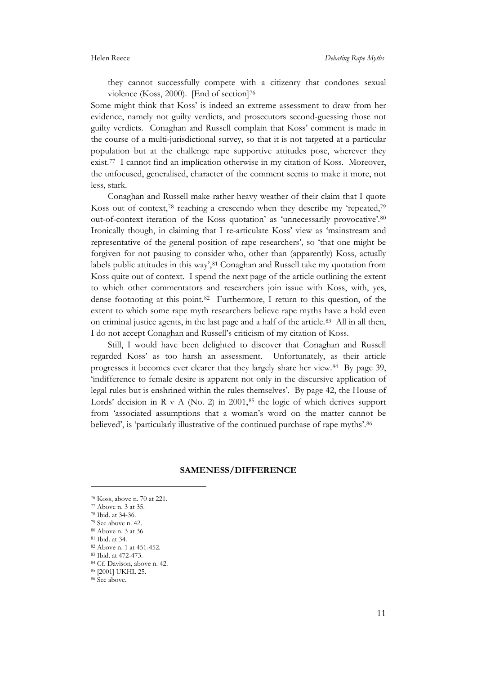they cannot successfully compete with a citizenry that condones sexual violence (Koss, 2000). [End of section]<sup>76</sup>

Some might think that Koss' is indeed an extreme assessment to draw from her evidence, namely not guilty verdicts, and prosecutors second-guessing those not guilty verdicts. Conaghan and Russell complain that Koss' comment is made in the course of a multi-jurisdictional survey, so that it is not targeted at a particular population but at the challenge rape supportive attitudes pose, wherever they exist.[77](#page-11-1) I cannot find an implication otherwise in my citation of Koss. Moreover, the unfocused, generalised, character of the comment seems to make it more, not less, stark.

Conaghan and Russell make rather heavy weather of their claim that I quote Koss out of context,<sup>[78](#page-11-2)</sup> reaching a crescendo when they describe my 'repeated,<sup>[79](#page-11-3)</sup> out-of-context iteration of the Koss quotation' as 'unnecessarily provocative'.[80](#page-11-4)  Ironically though, in claiming that I re-articulate Koss' view as 'mainstream and representative of the general position of rape researchers', so 'that one might be forgiven for not pausing to consider who, other than (apparently) Koss, actually labels public attitudes in this way',<sup>[81](#page-11-5)</sup> Conaghan and Russell take my quotation from Koss quite out of context. I spend the next page of the article outlining the extent to which other commentators and researchers join issue with Koss, with, yes, dense footnoting at this point.[82](#page-11-6) Furthermore, I return to this question, of the extent to which some rape myth researchers believe rape myths have a hold even on criminal justice agents, in the last page and a half of the article.[83](#page-11-7) All in all then, I do not accept Conaghan and Russell's criticism of my citation of Koss.

Still, I would have been delighted to discover that Conaghan and Russell regarded Koss' as too harsh an assessment. Unfortunately, as their article progresses it becomes ever clearer that they largely share her view.[84](#page-11-8) By page 39, 'indifference to female desire is apparent not only in the discursive application of legal rules but is enshrined within the rules themselves'. By page 42, the House of Lords' decision in R v A (No. 2) in 2001,  $85$  the logic of which derives support from 'associated assumptions that a woman's word on the matter cannot be believed', is 'particularly illustrative of the continued purchase of rape myths'.<sup>86</sup>

#### **SAMENESS/DIFFERENCE**

<span id="page-11-1"></span><span id="page-11-0"></span><sup>76</sup> Koss, above n. [70](#page-10-7) at 221.

<sup>77</sup> Above n[. 3](#page-2-0) at 35.

<span id="page-11-2"></span><sup>78</sup> Ibid. at 34-36.

<span id="page-11-3"></span><sup>79</sup> See above n. [42.](#page-5-12) <sup>80</sup> Above n[. 3](#page-2-0) at 36.

<span id="page-11-5"></span><span id="page-11-4"></span><sup>81</sup> Ibid. at 34.

<span id="page-11-6"></span><sup>82</sup> Above n[. 1](#page-2-1) at 451-452.

<span id="page-11-7"></span><sup>83</sup> Ibid. at 472-473.

<span id="page-11-8"></span><sup>84</sup> Cf. Davison, above n. 42.

<sup>85</sup> [2001] UKHL 25.

<span id="page-11-10"></span><span id="page-11-9"></span><sup>86</sup> See above.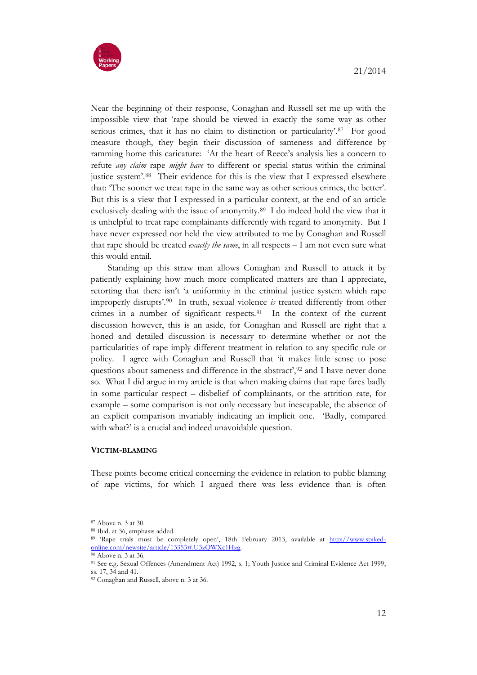

Near the beginning of their response, Conaghan and Russell set me up with the impossible view that 'rape should be viewed in exactly the same way as other serious crimes, that it has no claim to distinction or particularity'.<sup>87</sup> For good measure though, they begin their discussion of sameness and difference by ramming home this caricature: 'At the heart of Reece's analysis lies a concern to refute *any claim* rape *might have* to different or special status within the criminal justice system'.<sup>88</sup> Their evidence for this is the view that I expressed elsewhere that: 'The sooner we treat rape in the same way as other serious crimes, the better'. But this is a view that I expressed in a particular context, at the end of an article exclusively dealing with the issue of anonymity.[89](#page-12-2) I do indeed hold the view that it is unhelpful to treat rape complainants differently with regard to anonymity. But I have never expressed nor held the view attributed to me by Conaghan and Russell that rape should be treated *exactly the same*, in all respects – I am not even sure what this would entail.

Standing up this straw man allows Conaghan and Russell to attack it by patiently explaining how much more complicated matters are than I appreciate, retorting that there isn't 'a uniformity in the criminal justice system which rape improperly disrupts'[.90](#page-12-3) In truth, sexual violence *is* treated differently from other crimes in a number of significant respects.<sup>[91](#page-12-4)</sup> In the context of the current discussion however, this is an aside, for Conaghan and Russell are right that a honed and detailed discussion is necessary to determine whether or not the particularities of rape imply different treatment in relation to any specific rule or policy. I agree with Conaghan and Russell that 'it makes little sense to pose questions about sameness and difference in the abstract',<sup>[92](#page-12-5)</sup> and I have never done so. What I did argue in my article is that when making claims that rape fares badly in some particular respect – disbelief of complainants, or the attrition rate, for example – some comparison is not only necessary but inescapable, the absence of an explicit comparison invariably indicating an implicit one. 'Badly, compared with what?' is a crucial and indeed unavoidable question.

#### **VICTIM-BLAMING**

These points become critical concerning the evidence in relation to public blaming of rape victims, for which I argued there was less evidence than is often

<span id="page-12-0"></span><sup>87</sup> Above n[. 3](#page-2-0) at 30.

<span id="page-12-1"></span><sup>88</sup> Ibid. at 36, emphasis added.

<span id="page-12-2"></span><sup>89 &#</sup>x27;Rape trials must be completely open', 18th February 2013, available at [http://www.spiked](http://www.spiked-online.com/newsite/article/13353%23.U3zQWXc1Hzg)[online.com/newsite/article/13353#.U3zQWXc1Hzg.](http://www.spiked-online.com/newsite/article/13353%23.U3zQWXc1Hzg)

<span id="page-12-3"></span><sup>90</sup> Above n[. 3](#page-2-0) at 36.

<span id="page-12-4"></span><sup>91</sup> See e.g. Sexual Offences (Amendment Act) 1992, s. 1; Youth Justice and Criminal Evidence Act 1999, ss. 17, 34 and 41.

<span id="page-12-5"></span><sup>92</sup> Conaghan and Russell, above n[. 3](#page-2-0) at 36.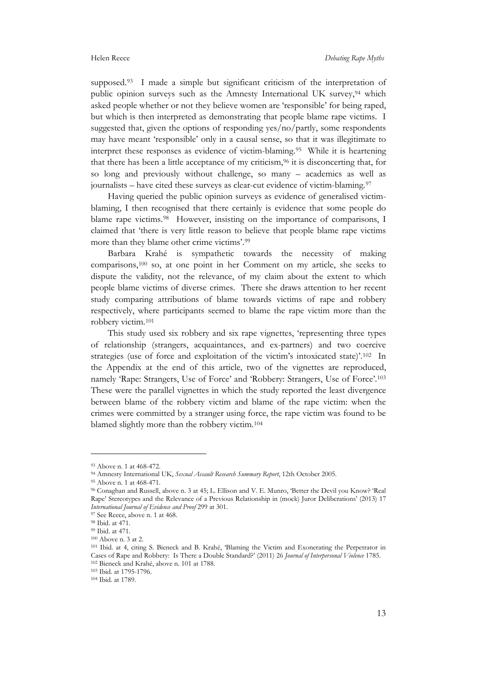supposed.<sup>93</sup> I made a simple but significant criticism of the interpretation of public opinion surveys such as the Amnesty International UK survey,<sup>[94](#page-13-2)</sup> which asked people whether or not they believe women are 'responsible' for being raped, but which is then interpreted as demonstrating that people blame rape victims. I suggested that, given the options of responding yes/no/partly, some respondents may have meant 'responsible' only in a causal sense, so that it was illegitimate to interpret these responses as evidence of victim-blaming.[95](#page-13-3) While it is heartening that there has been a little acceptance of my criticism,<sup>[96](#page-13-4)</sup> it is disconcerting that, for so long and previously without challenge, so many – academics as well as journalists – have cited these surveys as clear-cut evidence of victim-blaming.<sup>97</sup>

Having queried the public opinion surveys as evidence of generalised victimblaming, I then recognised that there certainly is evidence that some people do blame rape victims.<sup>98</sup> However, insisting on the importance of comparisons, I claimed that 'there is very little reason to believe that people blame rape victims more than they blame other crime victims'[.99](#page-13-7)

Barbara Krahé is sympathetic towards the necessity of making comparisons,[100](#page-13-8) so, at one point in her Comment on my article, she seeks to dispute the validity, not the relevance, of my claim about the extent to which people blame victims of diverse crimes. There she draws attention to her recent study comparing attributions of blame towards victims of rape and robbery respectively, where participants seemed to blame the rape victim more than the robbery victim.[101](#page-13-9) 

<span id="page-13-0"></span>This study used six robbery and six rape vignettes, 'representing three types of relationship (strangers, acquaintances, and ex-partners) and two coercive strategies (use of force and exploitation of the victim's intoxicated state)'.[102](#page-13-10) In the Appendix at the end of this article, two of the vignettes are reproduced, namely 'Rape: Strangers, Use of Force' and 'Robbery: Strangers, Use of Force'.[103](#page-13-11)  These were the parallel vignettes in which the study reported the least divergence between blame of the robbery victim and blame of the rape victim: when the crimes were committed by a stranger using force, the rape victim was found to be blamed slightly more than the robbery victim.[104](#page-13-12)

<span id="page-13-1"></span><sup>93</sup> Above n[. 1](#page-2-1) at 468-472.

<span id="page-13-2"></span><sup>94</sup> Amnesty International UK, *Sexual Assault Research Summary Report*, 12th October 2005.

<sup>95</sup> Above n[. 1](#page-2-1) at 468-471.

<span id="page-13-4"></span><span id="page-13-3"></span><sup>96</sup> Conaghan and Russell, above n. 3 at 45; L. Ellison and V. E. Munro, 'Better the Devil you Know? 'Real Rape' Stereotypes and the Relevance of a Previous Relationship in (mock) Juror Deliberations' (2013) 17 *International Journal of Evidence and Proof* 299 at 301.

<span id="page-13-5"></span><sup>97</sup> See Reece, above n. [1](#page-2-1) at 468.

<span id="page-13-6"></span><sup>98</sup> Ibid. at 471.

<span id="page-13-7"></span><sup>99</sup> Ibid. at 471.

<sup>100</sup> Above n. [3](#page-2-0) at 2.

<span id="page-13-9"></span><span id="page-13-8"></span><sup>101</sup> Ibid. at 4, citing S. Bieneck and B. Krahé, 'Blaming the Victim and Exonerating the Perpetrator in Cases of Rape and Robbery: Is There a Double Standard?' (2011) 26 *Journal of Interpersonal Violence* 1785. <sup>102</sup> Bieneck and Krahé, above n[. 101](#page-13-0) at 1788.

<span id="page-13-11"></span><span id="page-13-10"></span><sup>103</sup> Ibid. at 1795-1796.

<span id="page-13-12"></span><sup>104</sup> Ibid. at 1789.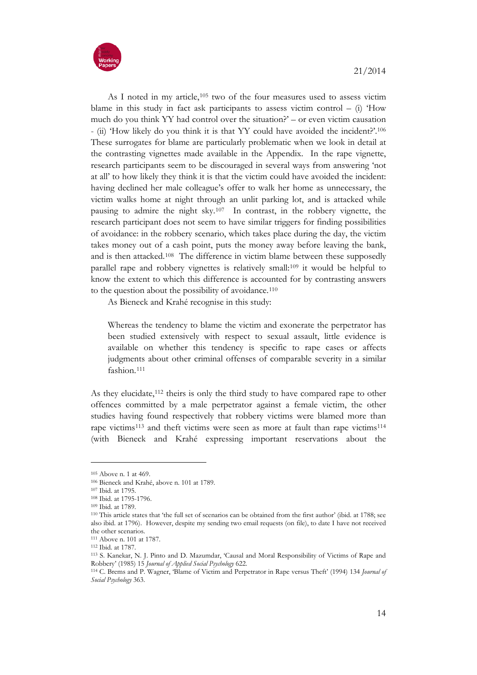

As I noted in my article,<sup>[105](#page-14-0)</sup> two of the four measures used to assess victim blame in this study in fact ask participants to assess victim control  $-$  (i)  $'How$ much do you think YY had control over the situation?' – or even victim causation - (ii) 'How likely do you think it is that YY could have avoided the incident?'.[106](#page-14-1)  These surrogates for blame are particularly problematic when we look in detail at the contrasting vignettes made available in the Appendix. In the rape vignette, research participants seem to be discouraged in several ways from answering 'not at all' to how likely they think it is that the victim could have avoided the incident: having declined her male colleague's offer to walk her home as unnecessary, the victim walks home at night through an unlit parking lot, and is attacked while pausing to admire the night sky.[107](#page-14-2) In contrast, in the robbery vignette, the research participant does not seem to have similar triggers for finding possibilities of avoidance: in the robbery scenario, which takes place during the day, the victim takes money out of a cash point, puts the money away before leaving the bank, and is then attacked.[108](#page-14-3) The difference in victim blame between these supposedly parallel rape and robbery vignettes is relatively small:[109](#page-14-4) it would be helpful to know the extent to which this difference is accounted for by contrasting answers to the question about the possibility of avoidance.[110](#page-14-5)

As Bieneck and Krahé recognise in this study:

Whereas the tendency to blame the victim and exonerate the perpetrator has been studied extensively with respect to sexual assault, little evidence is available on whether this tendency is specific to rape cases or affects judgments about other criminal offenses of comparable severity in a similar fashion.[111](#page-14-6)

As they elucidate,[112](#page-14-7) theirs is only the third study to have compared rape to other offences committed by a male perpetrator against a female victim, the other studies having found respectively that robbery victims were blamed more than rape victims<sup>[113](#page-14-8)</sup> and theft victims were seen as more at fault than rape victims<sup>[114](#page-14-9)</sup> (with Bieneck and Krahé expressing important reservations about the

<span id="page-14-0"></span><sup>105</sup> Above n. [1](#page-2-1) at 469.

<span id="page-14-1"></span><sup>106</sup> Bieneck and Krahé, above n. 101 at 1789.

<span id="page-14-2"></span><sup>107</sup> Ibid. at 1795.

<span id="page-14-3"></span><sup>108</sup> Ibid. at 1795-1796.

<sup>109</sup> Ibid. at 1789.

<span id="page-14-5"></span><span id="page-14-4"></span><sup>110</sup> This article states that 'the full set of scenarios can be obtained from the first author' (ibid. at 1788; see also ibid. at 1796). However, despite my sending two email requests (on file), to date I have not received the other scenarios.

<span id="page-14-6"></span><sup>111</sup> Above n. 101 at 1787.

<span id="page-14-7"></span><sup>112</sup> Ibid. at 1787.

<span id="page-14-8"></span><sup>113</sup> S. Kanekar, N. J. Pinto and D. Mazumdar, 'Causal and Moral Responsibility of Victims of Rape and Robbery' (1985) 15 *Journal of Applied Social Psychology* 622.

<span id="page-14-9"></span><sup>114</sup> C. Brems and P. Wagner, 'Blame of Victim and Perpetrator in Rape versus Theft' (1994) 134 *Journal of Social Psychology* 363.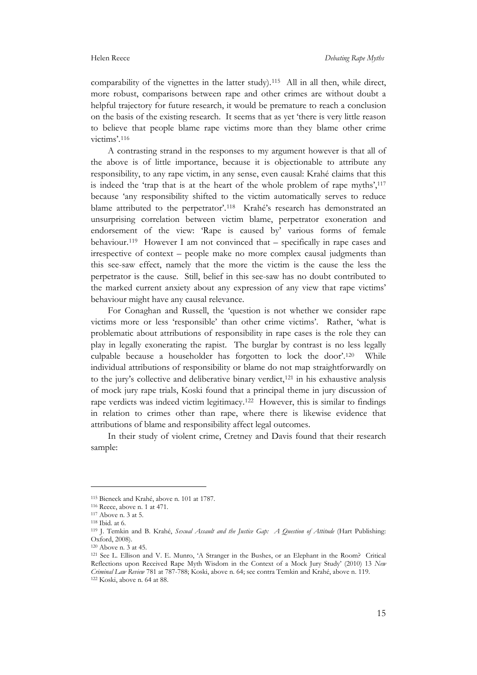comparability of the vignettes in the latter study).[115](#page-15-1) All in all then, while direct, more robust, comparisons between rape and other crimes are without doubt a helpful trajectory for future research, it would be premature to reach a conclusion on the basis of the existing research. It seems that as yet 'there is very little reason to believe that people blame rape victims more than they blame other crime victims'.[116](#page-15-2) 

A contrasting strand in the responses to my argument however is that all of the above is of little importance, because it is objectionable to attribute any responsibility, to any rape victim, in any sense, even causal: Krahé claims that this is indeed the 'trap that is at the heart of the whole problem of rape myths',<sup>[117](#page-15-3)</sup> because 'any responsibility shifted to the victim automatically serves to reduce blame attributed to the perpetrator'.<sup>118</sup> Krahé's research has demonstrated an unsurprising correlation between victim blame, perpetrator exoneration and endorsement of the view: 'Rape is caused by' various forms of female behaviour.[119](#page-15-5) However I am not convinced that – specifically in rape cases and irrespective of context – people make no more complex causal judgments than this see-saw effect, namely that the more the victim is the cause the less the perpetrator is the cause. Still, belief in this see-saw has no doubt contributed to the marked current anxiety about any expression of any view that rape victims' behaviour might have any causal relevance.

<span id="page-15-0"></span>For Conaghan and Russell, the 'question is not whether we consider rape victims more or less 'responsible' than other crime victims'. Rather, 'what is problematic about attributions of responsibility in rape cases is the role they can play in legally exonerating the rapist. The burglar by contrast is no less legally culpable because a householder has forgotten to lock the door'.[120](#page-15-6) While individual attributions of responsibility or blame do not map straightforwardly on to the jury's collective and deliberative binary verdict,<sup>[121](#page-15-7)</sup> in his exhaustive analysis of mock jury rape trials, Koski found that a principal theme in jury discussion of rape verdicts was indeed victim legitimacy.[122](#page-15-8) However, this is similar to findings in relation to crimes other than rape, where there is likewise evidence that attributions of blame and responsibility affect legal outcomes.

In their study of violent crime, Cretney and Davis found that their research sample:

<span id="page-15-1"></span><sup>115</sup> Bieneck and Krahé, above n. 101 at 1787.

<span id="page-15-2"></span><sup>116</sup> Reece, above n. [1](#page-2-1) at 471.

<span id="page-15-3"></span><sup>117</sup> Above n. [3](#page-2-0) at 5.

<span id="page-15-4"></span><sup>118</sup> Ibid. at 6.

<span id="page-15-5"></span><sup>119</sup> J. Temkin and B. Krahé, *Sexual Assault and the Justice Gap: A Question of Attitude* (Hart Publishing: Oxford, 2008).

<sup>120</sup> Above n. [3](#page-2-0) at 45.

<span id="page-15-8"></span><span id="page-15-7"></span><span id="page-15-6"></span><sup>121</sup> See L. Ellison and V. E. Munro, 'A Stranger in the Bushes, or an Elephant in the Room? Critical Reflections upon Received Rape Myth Wisdom in the Context of a Mock Jury Study' (2010) 13 *New Criminal Law Review* 781 at 787-788; Koski, above n. [64;](#page-9-8) see contra Temkin and Krahé, above n[. 119.](#page-15-0) <sup>122</sup> Koski, above n. [64](#page-9-8) at 88.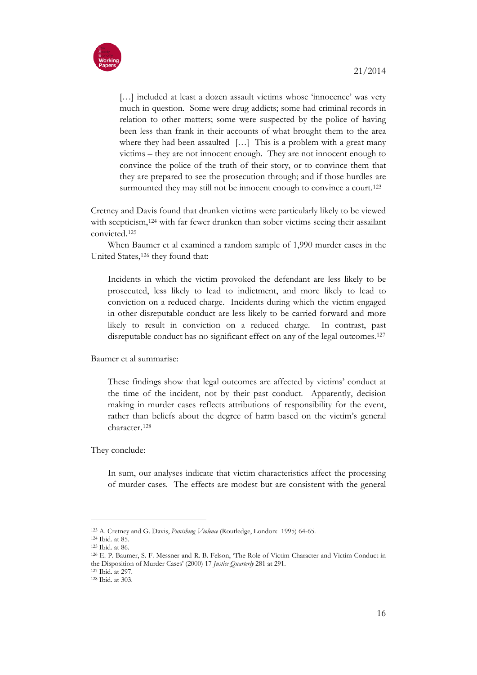

[...] included at least a dozen assault victims whose 'innocence' was very much in question. Some were drug addicts; some had criminal records in relation to other matters; some were suspected by the police of having been less than frank in their accounts of what brought them to the area where they had been assaulted [...] This is a problem with a great many victims – they are not innocent enough. They are not innocent enough to convince the police of the truth of their story, or to convince them that they are prepared to see the prosecution through; and if those hurdles are surmounted they may still not be innocent enough to convince a court.<sup>[123](#page-16-0)</sup>

Cretney and Davis found that drunken victims were particularly likely to be viewed with scepticism,<sup>[124](#page-16-1)</sup> with far fewer drunken than sober victims seeing their assailant convicted.[125](#page-16-2)

When Baumer et al examined a random sample of 1,990 murder cases in the United States,[126](#page-16-3) they found that:

Incidents in which the victim provoked the defendant are less likely to be prosecuted, less likely to lead to indictment, and more likely to lead to conviction on a reduced charge. Incidents during which the victim engaged in other disreputable conduct are less likely to be carried forward and more likely to result in conviction on a reduced charge. In contrast, past disreputable conduct has no significant effect on any of the legal outcomes.<sup>[127](#page-16-4)</sup>

Baumer et al summarise:

These findings show that legal outcomes are affected by victims' conduct at the time of the incident, not by their past conduct. Apparently, decision making in murder cases reflects attributions of responsibility for the event, rather than beliefs about the degree of harm based on the victim's general character.[128](#page-16-5)

They conclude:

In sum, our analyses indicate that victim characteristics affect the processing of murder cases. The effects are modest but are consistent with the general

<span id="page-16-0"></span><sup>123</sup> A. Cretney and G. Davis, *Punishing Violence* (Routledge, London: 1995) 64-65.

<span id="page-16-1"></span><sup>124</sup> Ibid. at 85.

<sup>125</sup> Ibid. at 86.

<span id="page-16-3"></span><span id="page-16-2"></span><sup>126</sup> E. P. Baumer, S. F. Messner and R. B. Felson, 'The Role of Victim Character and Victim Conduct in the Disposition of Murder Cases' (2000) 17 *Justice Quarterly* 281 at 291.

<sup>127</sup> Ibid. at 297.

<span id="page-16-5"></span><span id="page-16-4"></span><sup>128</sup> Ibid. at 303.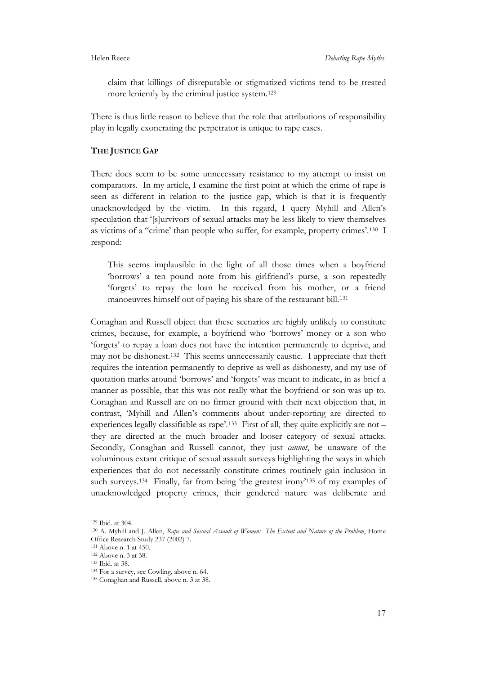claim that killings of disreputable or stigmatized victims tend to be treated more leniently by the criminal justice system[.129](#page-17-0)

There is thus little reason to believe that the role that attributions of responsibility play in legally exonerating the perpetrator is unique to rape cases.

#### **THE JUSTICE GAP**

There does seem to be some unnecessary resistance to my attempt to insist on comparators. In my article, I examine the first point at which the crime of rape is seen as different in relation to the justice gap, which is that it is frequently unacknowledged by the victim. In this regard, I query Myhill and Allen's speculation that '[s]urvivors of sexual attacks may be less likely to view themselves as victims of a "crime' than people who suffer, for example, property crimes'.[130](#page-17-1) I respond:

This seems implausible in the light of all those times when a boyfriend 'borrows' a ten pound note from his girlfriend's purse, a son repeatedly 'forgets' to repay the loan he received from his mother, or a friend manoeuvres himself out of paying his share of the restaurant bill.<sup>[131](#page-17-2)</sup>

Conaghan and Russell object that these scenarios are highly unlikely to constitute crimes, because, for example, a boyfriend who 'borrows' money or a son who 'forgets' to repay a loan does not have the intention permanently to deprive, and may not be dishonest.[132](#page-17-3) This seems unnecessarily caustic. I appreciate that theft requires the intention permanently to deprive as well as dishonesty, and my use of quotation marks around 'borrows' and 'forgets' was meant to indicate, in as brief a manner as possible, that this was not really what the boyfriend or son was up to. Conaghan and Russell are on no firmer ground with their next objection that, in contrast, 'Myhill and Allen's comments about under-reporting are directed to experiences legally classifiable as rape'.<sup>133</sup> First of all, they quite explicitly are not – they are directed at the much broader and looser category of sexual attacks. Secondly, Conaghan and Russell cannot, they just *cannot*, be unaware of the voluminous extant critique of sexual assault surveys highlighting the ways in which experiences that do not necessarily constitute crimes routinely gain inclusion in such surveys.[134](#page-17-5) Finally, far from being 'the greatest irony'[135](#page-17-6) of my examples of unacknowledged property crimes, their gendered nature was deliberate and

<sup>129</sup> Ibid. at 304.

<span id="page-17-1"></span><span id="page-17-0"></span><sup>130</sup> A. Myhill and J. Allen, *Rape and Sexual Assault of Women: The Extent and Nature of the Problem*, Home Office Research Study 237 (2002) 7.

<sup>131</sup> Above n. [1](#page-2-1) at 450.

<span id="page-17-4"></span><span id="page-17-3"></span><span id="page-17-2"></span><sup>132</sup> Above n. [3](#page-2-0) at 38.

<sup>133</sup> Ibid. at 38.

<span id="page-17-6"></span><span id="page-17-5"></span><sup>134</sup> For a survey, see Cowling, above n[. 64.](#page-9-8)

<sup>135</sup> Conaghan and Russell, above n. [3](#page-2-0) at 38.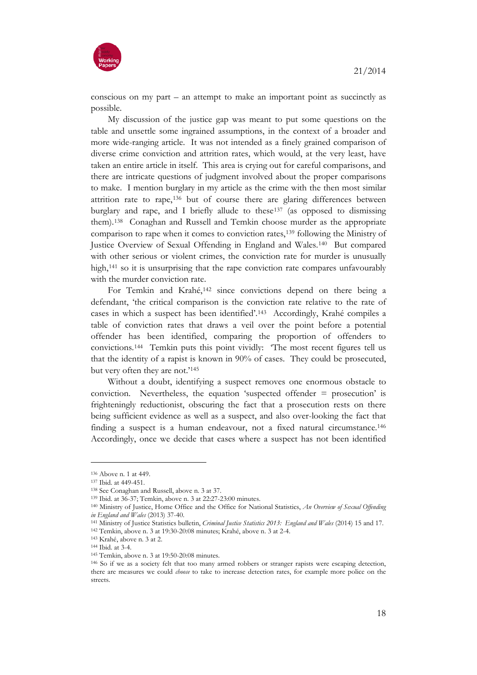

conscious on my part – an attempt to make an important point as succinctly as possible.

My discussion of the justice gap was meant to put some questions on the table and unsettle some ingrained assumptions, in the context of a broader and more wide-ranging article. It was not intended as a finely grained comparison of diverse crime conviction and attrition rates, which would, at the very least, have taken an entire article in itself. This area is crying out for careful comparisons, and there are intricate questions of judgment involved about the proper comparisons to make. I mention burglary in my article as the crime with the then most similar attrition rate to rape,[136](#page-18-0) but of course there are glaring differences between burglary and rape, and I briefly allude to these<sup>[137](#page-18-1)</sup> (as opposed to dismissing them).[138](#page-18-2) Conaghan and Russell and Temkin choose murder as the appropriate comparison to rape when it comes to conviction rates,[139](#page-18-3) following the Ministry of Justice Overview of Sexual Offending in England and Wales.[140](#page-18-4) But compared with other serious or violent crimes, the conviction rate for murder is unusually high,<sup>[141](#page-18-5)</sup> so it is unsurprising that the rape conviction rate compares unfavourably with the murder conviction rate.

For Temkin and Krahé,<sup>[142](#page-18-6)</sup> since convictions depend on there being a defendant, 'the critical comparison is the conviction rate relative to the rate of cases in which a suspect has been identified'.[143](#page-18-7) Accordingly, Krahé compiles a table of conviction rates that draws a veil over the point before a potential offender has been identified, comparing the proportion of offenders to convictions.[144](#page-18-8) Temkin puts this point vividly: 'The most recent figures tell us that the identity of a rapist is known in 90% of cases. They could be prosecuted, but very often they are not.'[145](#page-18-9) 

Without a doubt, identifying a suspect removes one enormous obstacle to conviction. Nevertheless, the equation 'suspected offender = prosecution' is frighteningly reductionist, obscuring the fact that a prosecution rests on there being sufficient evidence as well as a suspect, and also over-looking the fact that finding a suspect is a human endeavour, not a fixed natural circumstance.<sup>146</sup> Accordingly, once we decide that cases where a suspect has not been identified

<span id="page-18-0"></span><sup>136</sup> Above n. [1](#page-2-1) at 449.

<span id="page-18-1"></span><sup>137</sup> Ibid. at 449-451.

<span id="page-18-2"></span><sup>138</sup> See Conaghan and Russell, above n. [3](#page-2-0) at 37.

<span id="page-18-3"></span><sup>139</sup> Ibid. at 36-37; Temkin, above n. [3](#page-2-0) at 22:27-23:00 minutes.

<span id="page-18-4"></span><sup>140</sup> Ministry of Justice, Home Office and the Office for National Statistics, *An Overview of Sexual Offending in England and Wales* (2013) 37-40.

<span id="page-18-5"></span><sup>141</sup> Ministry of Justice Statistics bulletin, *Criminal Justice Statistics 2013: England and Wales* (2014) 15 and 17. <sup>142</sup> Temkin, above n. [3](#page-2-0) at 19:30-20:08 minutes; Krahé, above n[. 3](#page-2-0) at 2-4.

<span id="page-18-8"></span><span id="page-18-7"></span><span id="page-18-6"></span><sup>143</sup> Krahé, above n. [3](#page-2-0) at 2.

<sup>144</sup> Ibid. at 3-4.

<span id="page-18-9"></span><sup>145</sup> Temkin, above n. [3](#page-2-0) at 19:50-20:08 minutes.

<span id="page-18-10"></span><sup>146</sup> So if we as a society felt that too many armed robbers or stranger rapists were escaping detection, there are measures we could *choose* to take to increase detection rates, for example more police on the streets.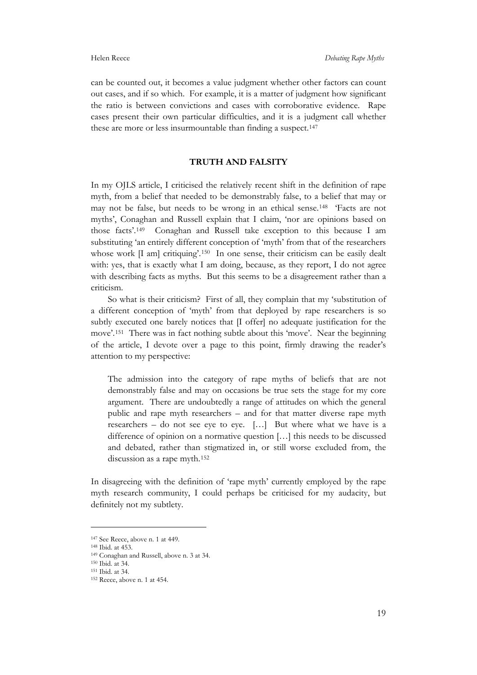can be counted out, it becomes a value judgment whether other factors can count out cases, and if so which. For example, it is a matter of judgment how significant the ratio is between convictions and cases with corroborative evidence. Rape cases present their own particular difficulties, and it is a judgment call whether these are more or less insurmountable than finding a suspect.[147](#page-19-0)

#### **TRUTH AND FALSITY**

In my OJLS article, I criticised the relatively recent shift in the definition of rape myth, from a belief that needed to be demonstrably false, to a belief that may or may not be false, but needs to be wrong in an ethical sense.[148](#page-19-1) 'Facts are not myths', Conaghan and Russell explain that I claim, 'nor are opinions based on those facts'.[149](#page-19-2) Conaghan and Russell take exception to this because I am substituting 'an entirely different conception of 'myth' from that of the researchers whose work [I am] critiquing'.<sup>[150](#page-19-3)</sup> In one sense, their criticism can be easily dealt with: yes, that is exactly what I am doing, because, as they report, I do not agree with describing facts as myths. But this seems to be a disagreement rather than a criticism.

So what is their criticism? First of all, they complain that my 'substitution of a different conception of 'myth' from that deployed by rape researchers is so subtly executed one barely notices that [I offer] no adequate justification for the move'.[151](#page-19-4) There was in fact nothing subtle about this 'move'. Near the beginning of the article, I devote over a page to this point, firmly drawing the reader's attention to my perspective:

The admission into the category of rape myths of beliefs that are not demonstrably false and may on occasions be true sets the stage for my core argument. There are undoubtedly a range of attitudes on which the general public and rape myth researchers – and for that matter diverse rape myth researchers – do not see eye to eye. […] But where what we have is a difference of opinion on a normative question […] this needs to be discussed and debated, rather than stigmatized in, or still worse excluded from, the discussion as a rape myth.[152](#page-19-5)

In disagreeing with the definition of 'rape myth' currently employed by the rape myth research community, I could perhaps be criticised for my audacity, but definitely not my subtlety.

<span id="page-19-0"></span><sup>147</sup> See Reece, above n. [1](#page-2-1) at 449.

<span id="page-19-1"></span><sup>148</sup> Ibid. at 453.

<span id="page-19-2"></span><sup>149</sup> Conaghan and Russell, above n. [3](#page-2-0) at 34.

<span id="page-19-3"></span><sup>150</sup> Ibid. at 34.

<span id="page-19-4"></span><sup>151</sup> Ibid. at 34.

<span id="page-19-5"></span><sup>152</sup> Reece, above n. [1](#page-2-1) at 454.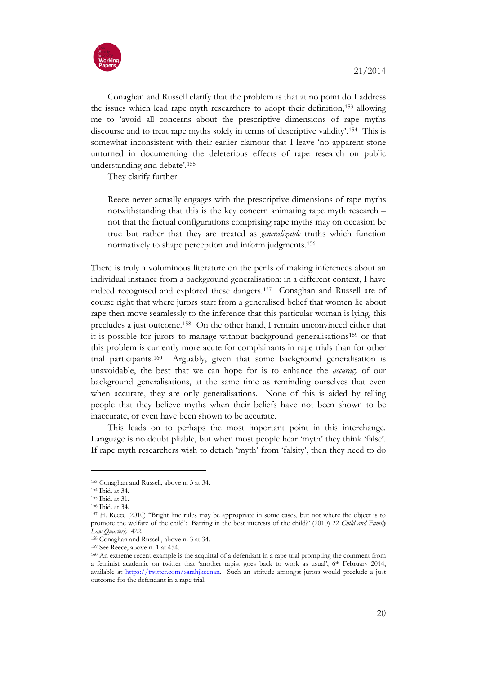

Conaghan and Russell clarify that the problem is that at no point do I address the issues which lead rape myth researchers to adopt their definition[,153](#page-20-0) allowing me to 'avoid all concerns about the prescriptive dimensions of rape myths discourse and to treat rape myths solely in terms of descriptive validity'.[154](#page-20-1) This is somewhat inconsistent with their earlier clamour that I leave 'no apparent stone unturned in documenting the deleterious effects of rape research on public understanding and debate'.[155](#page-20-2)

They clarify further:

Reece never actually engages with the prescriptive dimensions of rape myths notwithstanding that this is the key concern animating rape myth research – not that the factual configurations comprising rape myths may on occasion be true but rather that they are treated as *generalizable* truths which function normatively to shape perception and inform judgments.<sup>[156](#page-20-3)</sup>

There is truly a voluminous literature on the perils of making inferences about an individual instance from a background generalisation; in a different context, I have indeed recognised and explored these dangers.[157](#page-20-4) Conaghan and Russell are of course right that where jurors start from a generalised belief that women lie about rape then move seamlessly to the inference that this particular woman is lying, this precludes a just outcome.[158](#page-20-5) On the other hand, I remain unconvinced either that it is possible for jurors to manage without background generalisations[159](#page-20-6) or that this problem is currently more acute for complainants in rape trials than for other trial participants.[160](#page-20-7) Arguably, given that some background generalisation is unavoidable, the best that we can hope for is to enhance the *accuracy* of our background generalisations, at the same time as reminding ourselves that even when accurate, they are only generalisations. None of this is aided by telling people that they believe myths when their beliefs have not been shown to be inaccurate, or even have been shown to be accurate.

This leads on to perhaps the most important point in this interchange. Language is no doubt pliable, but when most people hear 'myth' they think 'false'. If rape myth researchers wish to detach 'myth' from 'falsity', then they need to do

<span id="page-20-0"></span><sup>153</sup> Conaghan and Russell, above n. [3](#page-2-0) at 34.

<span id="page-20-1"></span><sup>154</sup> Ibid. at 34.

<span id="page-20-2"></span><sup>155</sup> Ibid. at 31.

<sup>156</sup> Ibid. at 34.

<span id="page-20-4"></span><span id="page-20-3"></span><sup>157</sup> H. Reece (2010) ''Bright line rules may be appropriate in some cases, but not where the object is to promote the welfare of the child': Barring in the best interests of the child?' (2010) 22 *Child and Family Law Quarterly* 422.

<span id="page-20-5"></span><sup>158</sup> Conaghan and Russell, above n. [3](#page-2-0) at 34.

<sup>159</sup> See Reece, above n. [1](#page-2-1) at 454.

<span id="page-20-7"></span><span id="page-20-6"></span><sup>160</sup> An extreme recent example is the acquittal of a defendant in a rape trial prompting the comment from a feminist academic on twitter that 'another rapist goes back to work as usual', 6th February 2014, available at [https://twitter.com/sarahjkeenan.](https://twitter.com/sarahjkeenan) Such an attitude amongst jurors would preclude a just outcome for the defendant in a rape trial.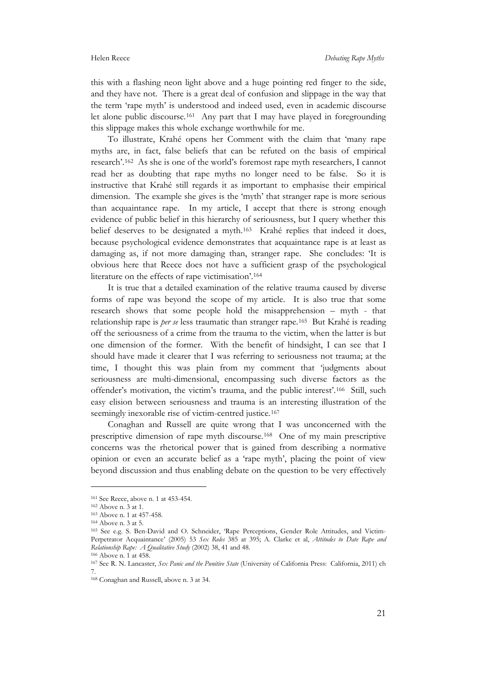this with a flashing neon light above and a huge pointing red finger to the side, and they have not. There is a great deal of confusion and slippage in the way that the term 'rape myth' is understood and indeed used, even in academic discourse let alone public discourse.<sup>[161](#page-21-0)</sup> Any part that I may have played in foregrounding this slippage makes this whole exchange worthwhile for me.

To illustrate, Krahé opens her Comment with the claim that 'many rape myths are, in fact, false beliefs that can be refuted on the basis of empirical research'.[162](#page-21-1) As she is one of the world's foremost rape myth researchers, I cannot read her as doubting that rape myths no longer need to be false. So it is instructive that Krahé still regards it as important to emphasise their empirical dimension. The example she gives is the 'myth' that stranger rape is more serious than acquaintance rape. In my article, I accept that there is strong enough evidence of public belief in this hierarchy of seriousness, but I query whether this belief deserves to be designated a myth.<sup>163</sup> Krahé replies that indeed it does, because psychological evidence demonstrates that acquaintance rape is at least as damaging as, if not more damaging than, stranger rape. She concludes: 'It is obvious here that Reece does not have a sufficient grasp of the psychological literature on the effects of rape victimisation'[.164](#page-21-3)

It is true that a detailed examination of the relative trauma caused by diverse forms of rape was beyond the scope of my article. It is also true that some research shows that some people hold the misapprehension – myth - that relationship rape is *per se* less traumatic than stranger rape.[165](#page-21-4) But Krahé is reading off the seriousness of a crime from the trauma to the victim, when the latter is but one dimension of the former. With the benefit of hindsight, I can see that I should have made it clearer that I was referring to seriousness not trauma; at the time, I thought this was plain from my comment that 'judgments about seriousness are multi-dimensional, encompassing such diverse factors as the offender's motivation, the victim's trauma, and the public interest'.[166](#page-21-5) Still, such easy elision between seriousness and trauma is an interesting illustration of the seemingly inexorable rise of victim-centred justice.<sup>[167](#page-21-6)</sup>

Conaghan and Russell are quite wrong that I was unconcerned with the prescriptive dimension of rape myth discourse.[168](#page-21-7) One of my main prescriptive concerns was the rhetorical power that is gained from describing a normative opinion or even an accurate belief as a 'rape myth', placing the point of view beyond discussion and thus enabling debate on the question to be very effectively

<span id="page-21-0"></span><sup>161</sup> See Reece, above n. [1](#page-2-1) at 453-454.

<span id="page-21-1"></span><sup>162</sup> Above n. [3](#page-2-0) at 1.

<span id="page-21-2"></span><sup>163</sup> Above n. [1](#page-2-1) at 457-458.

<span id="page-21-3"></span><sup>164</sup> Above n. [3](#page-2-0) at 5.

<span id="page-21-4"></span><sup>165</sup> See e.g. S. Ben-David and O. Schneider, 'Rape Perceptions, Gender Role Attitudes, and Victim-Perpetrator Acquaintance' (2005) 53 *Sex Roles* 385 at 395; A. Clarke et al, *Attitudes to Date Rape and Relationship Rape: A Qualitative Study* (2002) 38, 41 and 48.

<span id="page-21-5"></span><sup>166</sup> Above n. [1](#page-2-1) at 458.

<span id="page-21-6"></span><sup>167</sup> See R. N. Lancaster, *Sex Panic and the Punitive State* (University of California Press: California, 2011) ch 7.

<span id="page-21-7"></span><sup>168</sup> Conaghan and Russell, above n. [3](#page-2-0) at 34.